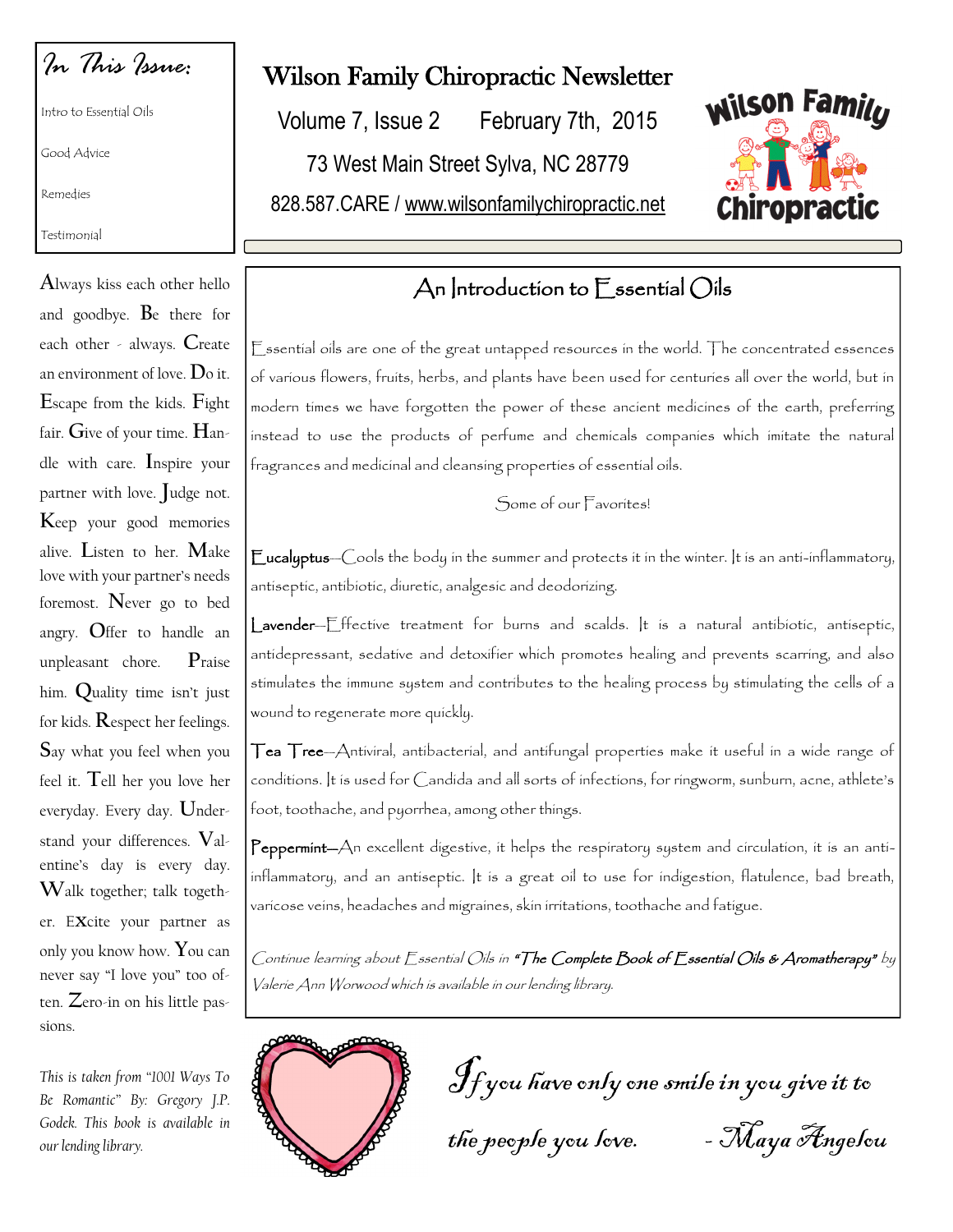*In This Issue:*

Intro to Essential Oils

Good Advice

Remedies

Testimonial

**A**lways kiss each other hello and goodbye. **B**e there for each other - always. **C**reate an environment of love. **D**o it. **E**scape from the kids. **F**ight fair. **G**ive of your time. **H**andle with care. **I**nspire your partner with love. **J**udge not. **K**eep your good memories alive. **L**isten to her. **M**ake love with your partner's needs foremost. **N**ever go to bed angry. **O**ffer to handle an unpleasant chore. **P**raise him. **Q**uality time isn't just for kids. **R**espect her feelings. **S**ay what you feel when you feel it. **T**ell her you love her everyday. Every day. **U**nderstand your differences. **V**alentine's day is every day. **W**alk together; talk together. E**x**cite your partner as only you know how. **Y**ou can never say "I love you" too often. **Z**ero-in on his little passions.

*This is taken from "1001 Ways To Be Romantic" By: Gregory J.P. Godek. This book is available in our lending library.* 

## Wilson Family Chiropractic Newsletter

Volume 7, Issue 2 February 7th, 2015

73 West Main Street Sylva, NC 28779

828.587.CARE / www.wilsonfamilychiropractic.net



# An Introduction to Essential Oils

Essential oils are one of the great untapped resources in the world. The concentrated essences of various flowers, fruits, herbs, and plants have been used for centuries all over the world, but in modern times we have forgotten the power of these ancient medicines of the earth, preferring instead to use the products of perfume and chemicals companies which imitate the natural fragrances and medicinal and cleansing properties of essential oils.

Some of our Favorites!

Eucalyptus—Cools the body in the summer and protects it in the winter. It is an anti-inflammatory, antiseptic, antibiotic, diuretic, analgesic and deodorizing.

Lavender—Effective treatment for burns and scalds. It is a natural antibiotic, antiseptic, antidepressant, sedative and detoxifier which promotes healing and prevents scarring, and also stimulates the immune system and contributes to the healing process by stimulating the cells of a wound to regenerate more quickly.

Tea Tree—Antiviral, antibacterial, and antifungal properties make it useful in a wide range of conditions. It is used for Candida and all sorts of infections, for ringworm, sunburn, acne, athlete's foot, toothache, and pyorrhea, among other things.

Peppermint-An excellent digestive, it helps the respiratory system and circulation, it is an antiinflammatory, and an antiseptic. It is a great oil to use for indigestion, flatulence, bad breath, varicose veins, headaches and migraines, skin irritations, toothache and fatigue.

Continue learning about Essential Oils in "The Complete Book of Essential Oils & Aromatherapy" by Valerie Ann Worwood which is available in our lending library.



If you have only one smile in you give it to the people you love. - Maya Angelou